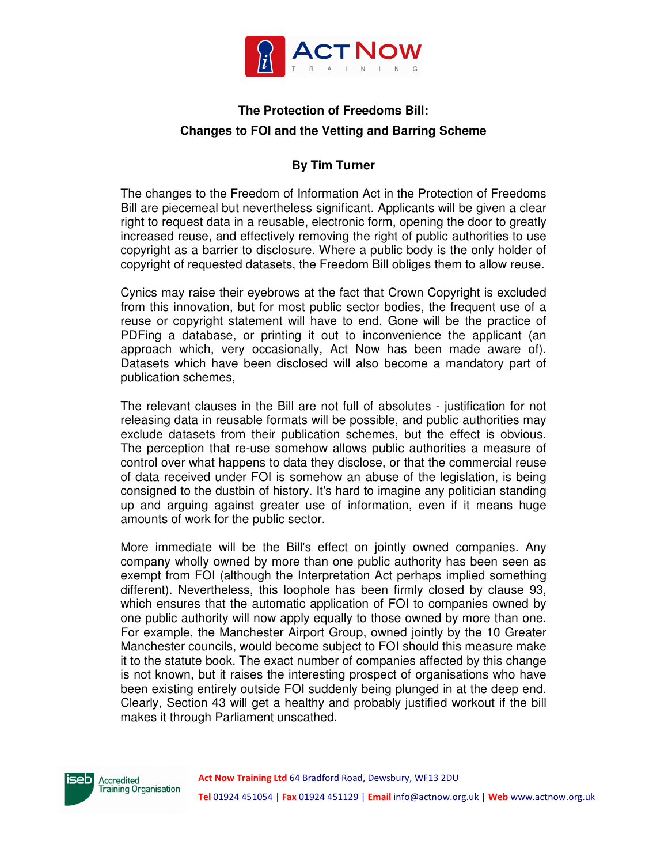

## **The Protection of Freedoms Bill: Changes to FOI and the Vetting and Barring Scheme**

## **By Tim Turner**

The changes to the Freedom of Information Act in the Protection of Freedoms Bill are piecemeal but nevertheless significant. Applicants will be given a clear right to request data in a reusable, electronic form, opening the door to greatly increased reuse, and effectively removing the right of public authorities to use copyright as a barrier to disclosure. Where a public body is the only holder of copyright of requested datasets, the Freedom Bill obliges them to allow reuse.

Cynics may raise their eyebrows at the fact that Crown Copyright is excluded from this innovation, but for most public sector bodies, the frequent use of a reuse or copyright statement will have to end. Gone will be the practice of PDFing a database, or printing it out to inconvenience the applicant (an approach which, very occasionally, Act Now has been made aware of). Datasets which have been disclosed will also become a mandatory part of publication schemes,

The relevant clauses in the Bill are not full of absolutes - justification for not releasing data in reusable formats will be possible, and public authorities may exclude datasets from their publication schemes, but the effect is obvious. The perception that re-use somehow allows public authorities a measure of control over what happens to data they disclose, or that the commercial reuse of data received under FOI is somehow an abuse of the legislation, is being consigned to the dustbin of history. It's hard to imagine any politician standing up and arguing against greater use of information, even if it means huge amounts of work for the public sector.

More immediate will be the Bill's effect on jointly owned companies. Any company wholly owned by more than one public authority has been seen as exempt from FOI (although the Interpretation Act perhaps implied something different). Nevertheless, this loophole has been firmly closed by clause 93, which ensures that the automatic application of FOI to companies owned by one public authority will now apply equally to those owned by more than one. For example, the Manchester Airport Group, owned jointly by the 10 Greater Manchester councils, would become subject to FOI should this measure make it to the statute book. The exact number of companies affected by this change is not known, but it raises the interesting prospect of organisations who have been existing entirely outside FOI suddenly being plunged in at the deep end. Clearly, Section 43 will get a healthy and probably justified workout if the bill makes it through Parliament unscathed.